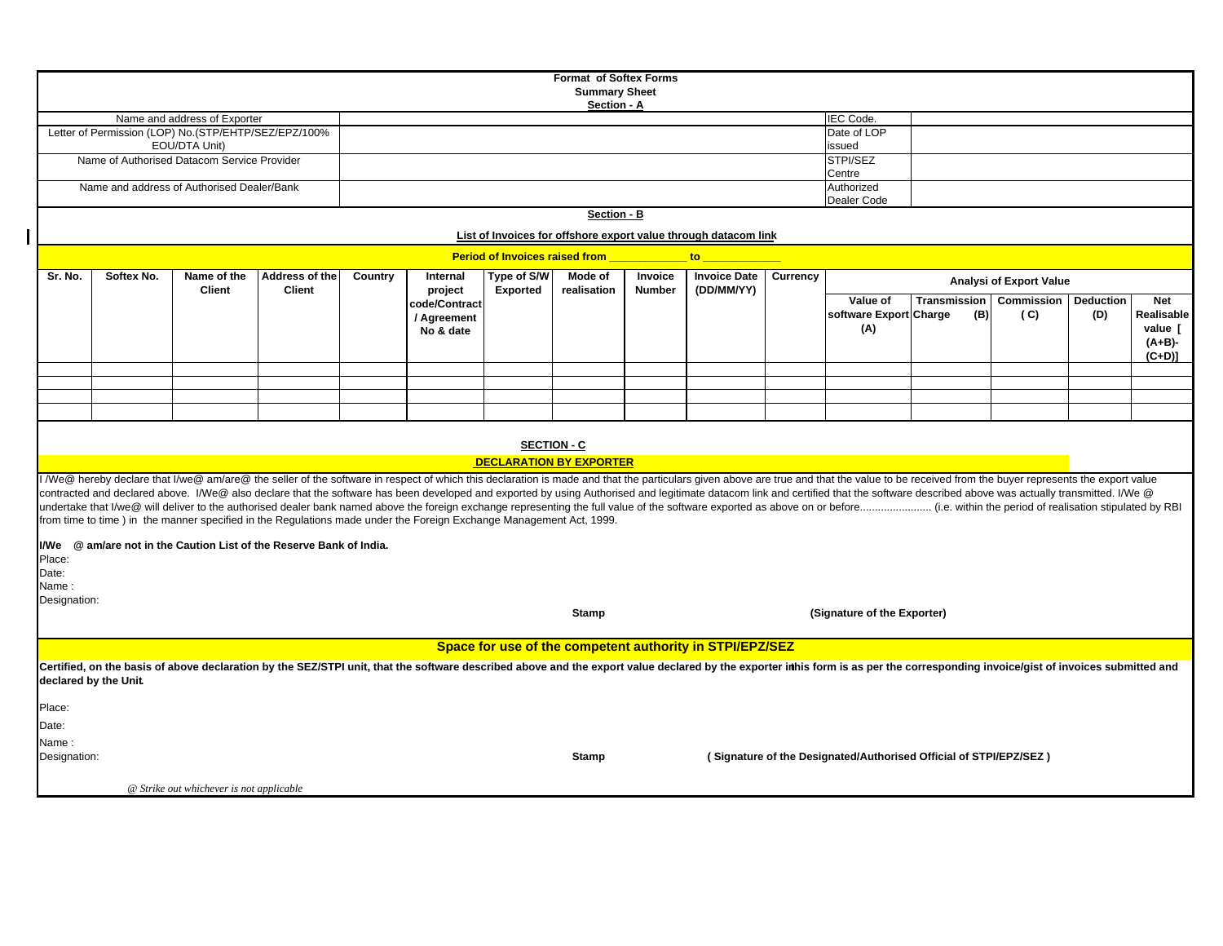| <b>Format of Softex Forms</b>                                                                                                                                                                                                 |                                                                                                                |                                                                       |                                                                                                                                                                                                                                |  |               |                 |                                |                                      |                                                          |  |                                                                   |                     |            |                  |                       |  |
|-------------------------------------------------------------------------------------------------------------------------------------------------------------------------------------------------------------------------------|----------------------------------------------------------------------------------------------------------------|-----------------------------------------------------------------------|--------------------------------------------------------------------------------------------------------------------------------------------------------------------------------------------------------------------------------|--|---------------|-----------------|--------------------------------|--------------------------------------|----------------------------------------------------------|--|-------------------------------------------------------------------|---------------------|------------|------------------|-----------------------|--|
| <b>Summary Sheet</b>                                                                                                                                                                                                          |                                                                                                                |                                                                       |                                                                                                                                                                                                                                |  |               |                 |                                |                                      |                                                          |  |                                                                   |                     |            |                  |                       |  |
| Section - A                                                                                                                                                                                                                   |                                                                                                                |                                                                       |                                                                                                                                                                                                                                |  |               |                 |                                |                                      |                                                          |  |                                                                   |                     |            |                  |                       |  |
|                                                                                                                                                                                                                               |                                                                                                                | Name and address of Exporter                                          |                                                                                                                                                                                                                                |  |               |                 |                                | <b>IEC Code.</b>                     |                                                          |  |                                                                   |                     |            |                  |                       |  |
|                                                                                                                                                                                                                               |                                                                                                                | Letter of Permission (LOP) No.(STP/EHTP/SEZ/EPZ/100%<br>EOU/DTA Unit) |                                                                                                                                                                                                                                |  |               |                 |                                | Date of LOP                          |                                                          |  |                                                                   |                     |            |                  |                       |  |
|                                                                                                                                                                                                                               |                                                                                                                | Name of Authorised Datacom Service Provider                           |                                                                                                                                                                                                                                |  |               |                 |                                | issued<br>STPI/SEZ                   |                                                          |  |                                                                   |                     |            |                  |                       |  |
|                                                                                                                                                                                                                               |                                                                                                                |                                                                       |                                                                                                                                                                                                                                |  |               |                 |                                | Centre                               |                                                          |  |                                                                   |                     |            |                  |                       |  |
|                                                                                                                                                                                                                               |                                                                                                                | Name and address of Authorised Dealer/Bank                            |                                                                                                                                                                                                                                |  |               |                 |                                |                                      |                                                          |  | Authorized                                                        |                     |            |                  |                       |  |
|                                                                                                                                                                                                                               |                                                                                                                |                                                                       |                                                                                                                                                                                                                                |  |               |                 |                                |                                      | Dealer Code                                              |  |                                                                   |                     |            |                  |                       |  |
|                                                                                                                                                                                                                               |                                                                                                                |                                                                       |                                                                                                                                                                                                                                |  |               |                 | Section - B                    |                                      |                                                          |  |                                                                   |                     |            |                  |                       |  |
|                                                                                                                                                                                                                               | List of Invoices for offshore export value through datacom link<br><b>Period of Invoices raised from</b><br>to |                                                                       |                                                                                                                                                                                                                                |  |               |                 |                                |                                      |                                                          |  |                                                                   |                     |            |                  |                       |  |
| Sr. No.<br>Type of S/W<br><b>Invoice Date</b><br>Currency<br>Softex No.<br>Name of the<br>Address of the<br>Country<br>Mode of<br>Internal<br>Invoice                                                                         |                                                                                                                |                                                                       |                                                                                                                                                                                                                                |  |               |                 |                                |                                      |                                                          |  |                                                                   |                     |            |                  |                       |  |
|                                                                                                                                                                                                                               |                                                                                                                | <b>Client</b>                                                         | <b>Client</b>                                                                                                                                                                                                                  |  | project       | <b>Exported</b> | realisation                    | <b>Number</b>                        | (DD/MM/YY)                                               |  | <b>Analysi of Export Value</b>                                    |                     |            |                  |                       |  |
|                                                                                                                                                                                                                               |                                                                                                                |                                                                       |                                                                                                                                                                                                                                |  | code/Contract |                 |                                |                                      |                                                          |  | Value of                                                          | <b>Transmission</b> | Commission | <b>Deduction</b> | <b>Net</b>            |  |
|                                                                                                                                                                                                                               |                                                                                                                |                                                                       |                                                                                                                                                                                                                                |  | / Agreement   |                 |                                |                                      |                                                          |  | software Export Charge<br>(A)                                     | (B)                 | (C)        | (D)              | Realisable<br>value [ |  |
|                                                                                                                                                                                                                               |                                                                                                                |                                                                       |                                                                                                                                                                                                                                |  | No & date     |                 |                                |                                      |                                                          |  |                                                                   |                     |            |                  | $(A+B)$ -             |  |
|                                                                                                                                                                                                                               |                                                                                                                |                                                                       |                                                                                                                                                                                                                                |  |               |                 |                                |                                      |                                                          |  |                                                                   |                     |            |                  | $(C+D)$ ]             |  |
|                                                                                                                                                                                                                               |                                                                                                                |                                                                       |                                                                                                                                                                                                                                |  |               |                 |                                |                                      |                                                          |  |                                                                   |                     |            |                  |                       |  |
|                                                                                                                                                                                                                               |                                                                                                                |                                                                       |                                                                                                                                                                                                                                |  |               |                 |                                |                                      |                                                          |  |                                                                   |                     |            |                  |                       |  |
|                                                                                                                                                                                                                               |                                                                                                                |                                                                       |                                                                                                                                                                                                                                |  |               |                 |                                |                                      |                                                          |  |                                                                   |                     |            |                  |                       |  |
|                                                                                                                                                                                                                               |                                                                                                                |                                                                       |                                                                                                                                                                                                                                |  |               |                 |                                |                                      |                                                          |  |                                                                   |                     |            |                  |                       |  |
|                                                                                                                                                                                                                               |                                                                                                                |                                                                       |                                                                                                                                                                                                                                |  |               |                 | <b>SECTION - C</b>             |                                      |                                                          |  |                                                                   |                     |            |                  |                       |  |
|                                                                                                                                                                                                                               |                                                                                                                |                                                                       |                                                                                                                                                                                                                                |  |               |                 | <b>DECLARATION BY EXPORTER</b> |                                      |                                                          |  |                                                                   |                     |            |                  |                       |  |
|                                                                                                                                                                                                                               |                                                                                                                |                                                                       | If We@ hereby declare that I/we@ am/are@ the seller of the software in respect of which this declaration is made and that the particulars given above are true and that the value to be received from the buyer represents the |  |               |                 |                                |                                      |                                                          |  |                                                                   |                     |            |                  |                       |  |
|                                                                                                                                                                                                                               |                                                                                                                |                                                                       |                                                                                                                                                                                                                                |  |               |                 |                                |                                      |                                                          |  |                                                                   |                     |            |                  |                       |  |
| contracted and declared above. I/We@ also declare that the software has been developed and exported by using Authorised and legitimate datacom link and certified that the software described above was actually transmitted. |                                                                                                                |                                                                       |                                                                                                                                                                                                                                |  |               |                 |                                |                                      |                                                          |  |                                                                   |                     |            |                  |                       |  |
| from time to time) in the manner specified in the Regulations made under the Foreign Exchange Management Act, 1999.                                                                                                           |                                                                                                                |                                                                       |                                                                                                                                                                                                                                |  |               |                 |                                |                                      |                                                          |  |                                                                   |                     |            |                  |                       |  |
| I/We @ am/are not in the Caution List of the Reserve Bank of India.                                                                                                                                                           |                                                                                                                |                                                                       |                                                                                                                                                                                                                                |  |               |                 |                                |                                      |                                                          |  |                                                                   |                     |            |                  |                       |  |
| Place:                                                                                                                                                                                                                        |                                                                                                                |                                                                       |                                                                                                                                                                                                                                |  |               |                 |                                |                                      |                                                          |  |                                                                   |                     |            |                  |                       |  |
| Date:                                                                                                                                                                                                                         |                                                                                                                |                                                                       |                                                                                                                                                                                                                                |  |               |                 |                                |                                      |                                                          |  |                                                                   |                     |            |                  |                       |  |
| Name:                                                                                                                                                                                                                         |                                                                                                                |                                                                       |                                                                                                                                                                                                                                |  |               |                 |                                |                                      |                                                          |  |                                                                   |                     |            |                  |                       |  |
| Designation:                                                                                                                                                                                                                  |                                                                                                                |                                                                       |                                                                                                                                                                                                                                |  |               |                 |                                | Stamp<br>(Signature of the Exporter) |                                                          |  |                                                                   |                     |            |                  |                       |  |
|                                                                                                                                                                                                                               |                                                                                                                |                                                                       |                                                                                                                                                                                                                                |  |               |                 |                                |                                      |                                                          |  |                                                                   |                     |            |                  |                       |  |
|                                                                                                                                                                                                                               |                                                                                                                |                                                                       |                                                                                                                                                                                                                                |  |               |                 |                                |                                      | Space for use of the competent authority in STPI/EPZ/SEZ |  |                                                                   |                     |            |                  |                       |  |
|                                                                                                                                                                                                                               |                                                                                                                |                                                                       | Certified, on the basis of above declaration by the SEZ/STPI unit, that the software described above and the export value declared by the exporter inhis form is as per the corresponding invoice/gist of invoices submitted a |  |               |                 |                                |                                      |                                                          |  |                                                                   |                     |            |                  |                       |  |
| declared by the Unit.                                                                                                                                                                                                         |                                                                                                                |                                                                       |                                                                                                                                                                                                                                |  |               |                 |                                |                                      |                                                          |  |                                                                   |                     |            |                  |                       |  |
|                                                                                                                                                                                                                               |                                                                                                                |                                                                       |                                                                                                                                                                                                                                |  |               |                 |                                |                                      |                                                          |  |                                                                   |                     |            |                  |                       |  |
| Place:                                                                                                                                                                                                                        |                                                                                                                |                                                                       |                                                                                                                                                                                                                                |  |               |                 |                                |                                      |                                                          |  |                                                                   |                     |            |                  |                       |  |
| Date:                                                                                                                                                                                                                         |                                                                                                                |                                                                       |                                                                                                                                                                                                                                |  |               |                 |                                |                                      |                                                          |  |                                                                   |                     |            |                  |                       |  |
| Name:                                                                                                                                                                                                                         |                                                                                                                |                                                                       |                                                                                                                                                                                                                                |  |               |                 |                                |                                      |                                                          |  |                                                                   |                     |            |                  |                       |  |
| Designation:                                                                                                                                                                                                                  |                                                                                                                |                                                                       |                                                                                                                                                                                                                                |  |               |                 | <b>Stamp</b>                   |                                      |                                                          |  | (Signature of the Designated/Authorised Official of STPI/EPZ/SEZ) |                     |            |                  |                       |  |
|                                                                                                                                                                                                                               |                                                                                                                | <b>@</b> Strike out whichever is not applicable                       |                                                                                                                                                                                                                                |  |               |                 |                                |                                      |                                                          |  |                                                                   |                     |            |                  |                       |  |

 $\mathbf l$